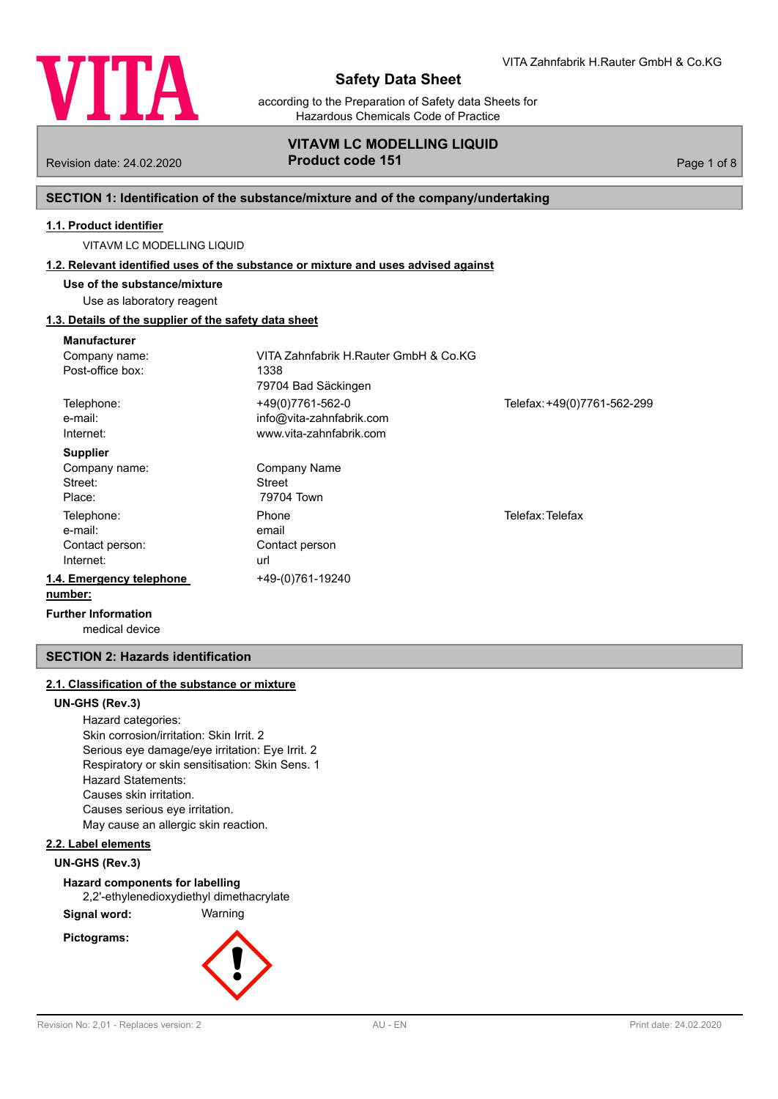

according to the Preparation of Safety data Sheets for Hazardous Chemicals Code of Practice

# **VITAVM LC MODELLING LIQUID** Revision date: 24.02.2020 **Product code 151** Product Code 151

# **SECTION 1: Identification of the substance/mixture and of the company/undertaking**

# **1.1. Product identifier**

VITAVM LC MODELLING LIQUID

#### **1.2. Relevant identified uses of the substance or mixture and uses advised against**

**Use of the substance/mixture** Use as laboratory reagent

# **1.3. Details of the supplier of the safety data sheet**

| <b>Manufacturer</b>                  |                                       |                             |
|--------------------------------------|---------------------------------------|-----------------------------|
| Company name:                        | VITA Zahnfabrik H.Rauter GmbH & Co.KG |                             |
| Post-office box:                     | 1338                                  |                             |
|                                      | 79704 Bad Säckingen                   |                             |
| Telephone:                           | +49(0)7761-562-0                      | Telefax: +49(0)7761-562-299 |
| e-mail:                              | info@vita-zahnfabrik.com              |                             |
| Internet:                            | www.vita-zahnfabrik.com               |                             |
| <b>Supplier</b>                      |                                       |                             |
| Company name:                        | Company Name                          |                             |
| Street:                              | Street                                |                             |
| Place:                               | 79704 Town                            |                             |
| Telephone:                           | Phone                                 | Telefax: Telefax            |
| e-mail:                              | email                                 |                             |
| Contact person:                      | Contact person                        |                             |
| Internet:                            | url                                   |                             |
| 1.4. Emergency telephone             | +49-(0)761-19240                      |                             |
| number:                              |                                       |                             |
| Escontin a collection considered and |                                       |                             |

medical device **Further Information**

# **SECTION 2: Hazards identification**

# **2.1. Classification of the substance or mixture**

### **UN-GHS (Rev.3)**

Hazard categories: Skin corrosion/irritation: Skin Irrit. 2 Serious eye damage/eye irritation: Eye Irrit. 2 Respiratory or skin sensitisation: Skin Sens. 1 Hazard Statements: Causes skin irritation. Causes serious eye irritation. May cause an allergic skin reaction.

# **2.2. Label elements**

**UN-GHS (Rev.3)**

**Hazard components for labelling**

2,2'-ethylenedioxydiethyl dimethacrylate

**Signal word:** Warning

**Pictograms:**

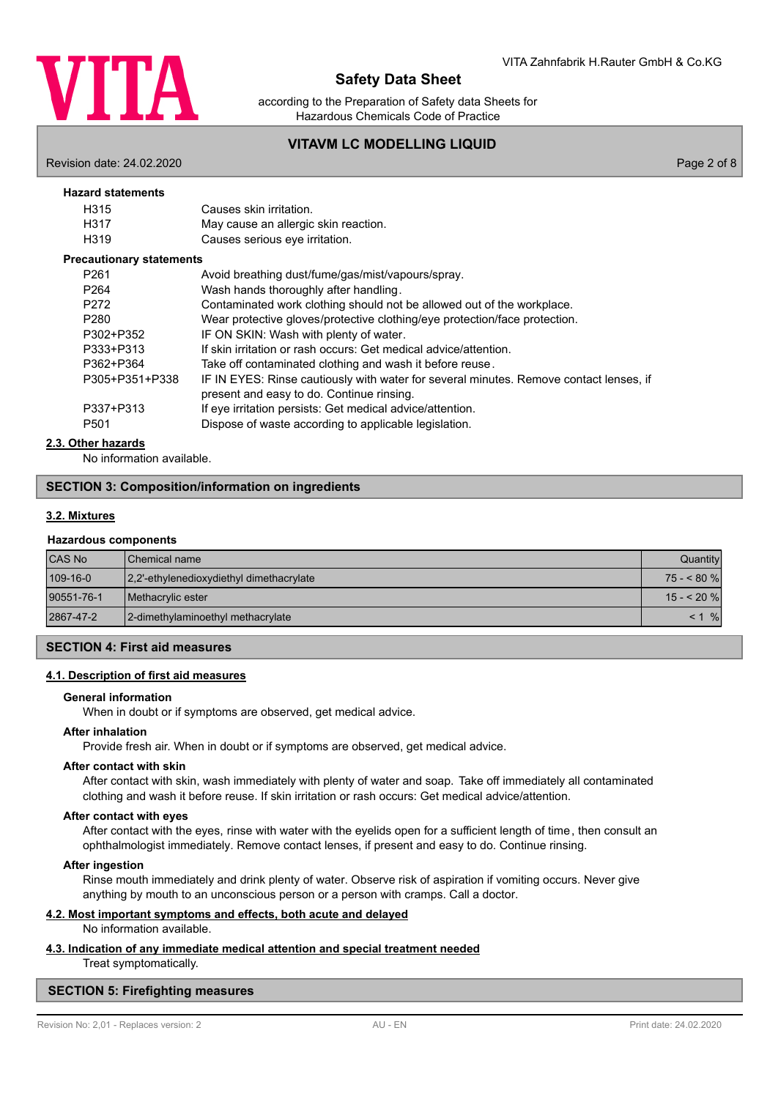

according to the Preparation of Safety data Sheets for Hazardous Chemicals Code of Practice

# **VITAVM LC MODELLING LIQUID**

Revision date: 24.02.2020 Page 2 of 8

# **Hazard statements**

| H315                            | Causes skin irritation.              |  |  |
|---------------------------------|--------------------------------------|--|--|
| H317                            | May cause an allergic skin reaction. |  |  |
| H319                            | Causes serious eye irritation.       |  |  |
| <b>Precautionary statements</b> |                                      |  |  |

| Avoid breathing dust/fume/gas/mist/vapours/spray.                                                                                   |
|-------------------------------------------------------------------------------------------------------------------------------------|
| Wash hands thoroughly after handling.                                                                                               |
| Contaminated work clothing should not be allowed out of the workplace.                                                              |
| Wear protective gloves/protective clothing/eye protection/face protection.                                                          |
| IF ON SKIN: Wash with plenty of water.                                                                                              |
| If skin irritation or rash occurs: Get medical advice/attention.                                                                    |
| Take off contaminated clothing and wash it before reuse.                                                                            |
| IF IN EYES: Rinse cautiously with water for several minutes. Remove contact lenses, if<br>present and easy to do. Continue rinsing. |
| If eye irritation persists: Get medical advice/attention.                                                                           |
| Dispose of waste according to applicable legislation.                                                                               |
|                                                                                                                                     |

# **2.3. Other hazards**

No information available.

# **SECTION 3: Composition/information on ingredients**

### **3.2. Mixtures**

#### **Hazardous components**

| <b>CAS No</b> | <b>I</b> Chemical name                   | Quantity    |
|---------------|------------------------------------------|-------------|
| 109-16-0      | 2.2'-ethylenedioxydiethyl dimethacrylate | $75 - 80$ % |
| 90551-76-1    | <b>I</b> Methacrylic ester               | $15 - 20$ % |
| 2867-47-2     | 2-dimethylaminoethyl methacrylate        | $\%$        |

# **SECTION 4: First aid measures**

# **4.1. Description of first aid measures**

#### **General information**

When in doubt or if symptoms are observed, get medical advice.

#### **After inhalation**

Provide fresh air. When in doubt or if symptoms are observed, get medical advice.

# **After contact with skin**

After contact with skin, wash immediately with plenty of water and soap. Take off immediately all contaminated clothing and wash it before reuse. If skin irritation or rash occurs: Get medical advice/attention.

#### **After contact with eyes**

After contact with the eyes, rinse with water with the eyelids open for a sufficient length of time, then consult an ophthalmologist immediately. Remove contact lenses, if present and easy to do. Continue rinsing.

### **After ingestion**

Rinse mouth immediately and drink plenty of water. Observe risk of aspiration if vomiting occurs. Never give anything by mouth to an unconscious person or a person with cramps. Call a doctor.

### **4.2. Most important symptoms and effects, both acute and delayed**

#### No information available.

# **4.3. Indication of any immediate medical attention and special treatment needed**

Treat symptomatically.

#### **SECTION 5: Firefighting measures**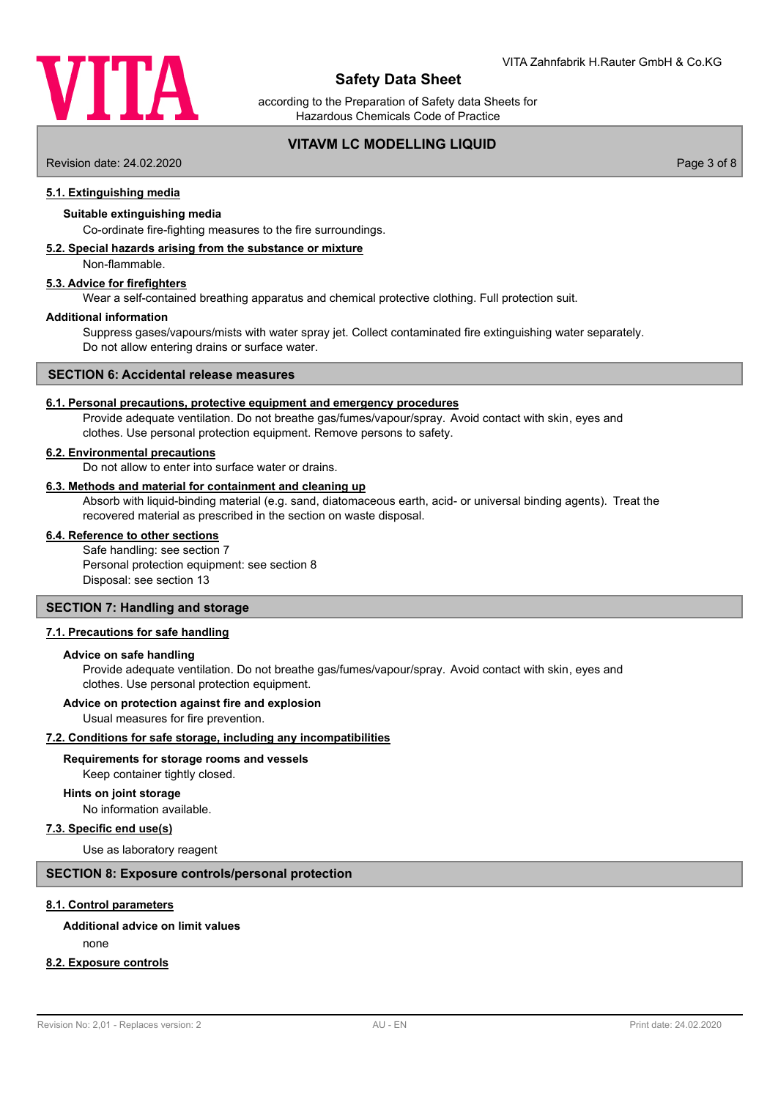

according to the Preparation of Safety data Sheets for Hazardous Chemicals Code of Practice

# **VITAVM LC MODELLING LIQUID**

Revision date: 24.02.2020 Page 3 of 8

# **5.1. Extinguishing media**

#### **Suitable extinguishing media**

Co-ordinate fire-fighting measures to the fire surroundings.

#### **5.2. Special hazards arising from the substance or mixture**

Non-flammable.

# **5.3. Advice for firefighters**

Wear a self-contained breathing apparatus and chemical protective clothing. Full protection suit.

#### **Additional information**

Suppress gases/vapours/mists with water spray jet. Collect contaminated fire extinguishing water separately. Do not allow entering drains or surface water.

#### **SECTION 6: Accidental release measures**

#### **6.1. Personal precautions, protective equipment and emergency procedures**

Provide adequate ventilation. Do not breathe gas/fumes/vapour/spray. Avoid contact with skin, eyes and clothes. Use personal protection equipment. Remove persons to safety.

#### **6.2. Environmental precautions**

Do not allow to enter into surface water or drains.

# **6.3. Methods and material for containment and cleaning up**

Absorb with liquid-binding material (e.g. sand, diatomaceous earth, acid- or universal binding agents). Treat the recovered material as prescribed in the section on waste disposal.

# **6.4. Reference to other sections**

Safe handling: see section 7 Personal protection equipment: see section 8 Disposal: see section 13

## **SECTION 7: Handling and storage**

#### **7.1. Precautions for safe handling**

#### **Advice on safe handling**

Provide adequate ventilation. Do not breathe gas/fumes/vapour/spray. Avoid contact with skin, eyes and clothes. Use personal protection equipment.

#### **Advice on protection against fire and explosion**

Usual measures for fire prevention.

#### **7.2. Conditions for safe storage, including any incompatibilities**

# **Requirements for storage rooms and vessels**

Keep container tightly closed.

#### No information available. **Hints on joint storage**

#### **7.3. Specific end use(s)**

Use as laboratory reagent

# **SECTION 8: Exposure controls/personal protection**

#### **8.1. Control parameters**

#### **Additional advice on limit values**

none

# **8.2. Exposure controls**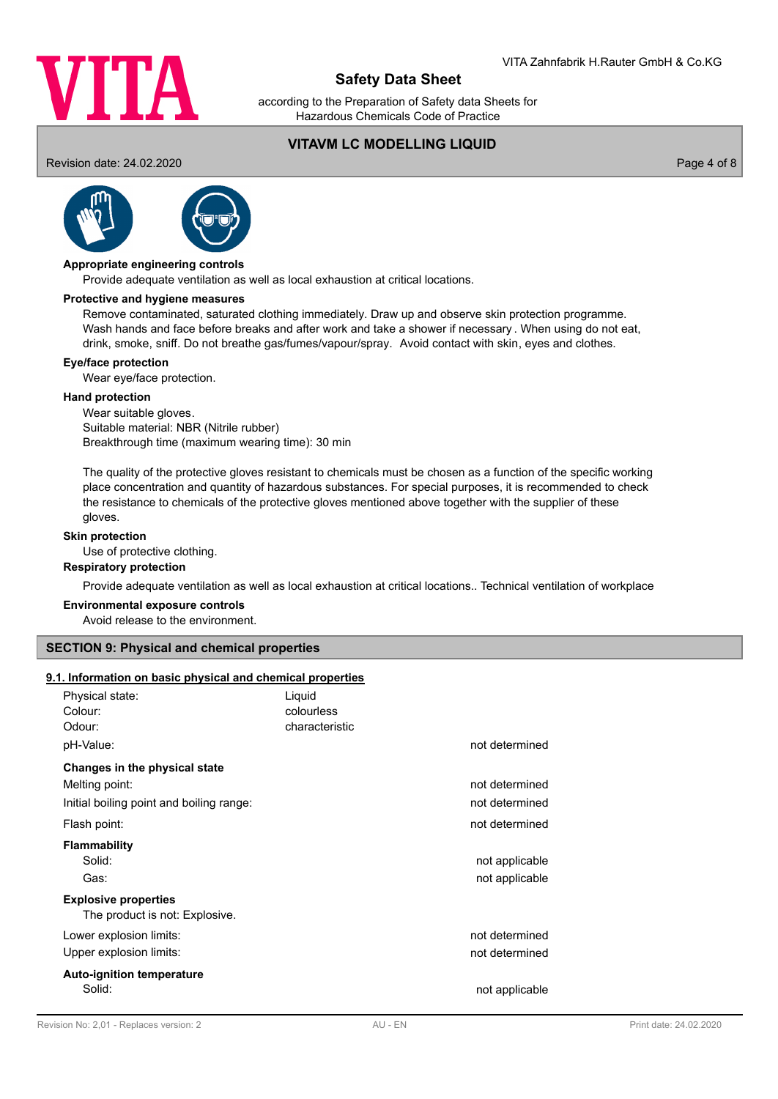

according to the Preparation of Safety data Sheets for Hazardous Chemicals Code of Practice

**VITAVM LC MODELLING LIQUID** Revision date: 24.02.2020 Page 4 of 8





#### **Appropriate engineering controls**

Provide adequate ventilation as well as local exhaustion at critical locations.

#### **Protective and hygiene measures**

Remove contaminated, saturated clothing immediately. Draw up and observe skin protection programme. Wash hands and face before breaks and after work and take a shower if necessary . When using do not eat, drink, smoke, sniff. Do not breathe gas/fumes/vapour/spray. Avoid contact with skin, eyes and clothes.

#### **Eye/face protection**

Wear eye/face protection.

#### **Hand protection**

Wear suitable gloves. Suitable material: NBR (Nitrile rubber) Breakthrough time (maximum wearing time): 30 min

The quality of the protective gloves resistant to chemicals must be chosen as a function of the specific working place concentration and quantity of hazardous substances. For special purposes, it is recommended to check the resistance to chemicals of the protective gloves mentioned above together with the supplier of these gloves.

#### **Skin protection**

Use of protective clothing.

### **Respiratory protection**

Provide adequate ventilation as well as local exhaustion at critical locations.. Technical ventilation of workplace

#### **Environmental exposure controls**

Avoid release to the environment.

# **SECTION 9: Physical and chemical properties**

#### **9.1. Information on basic physical and chemical properties**

| Colour:<br>colourless<br>Odour:<br>characteristic<br>pH-Value:<br>not determined<br>Changes in the physical state<br>Melting point:<br>not determined<br>Initial boiling point and boiling range:<br>not determined<br>not determined<br>Flash point:<br><b>Flammability</b><br>Solid:<br>not applicable<br>not applicable<br>Gas:<br><b>Explosive properties</b><br>The product is not: Explosive.<br>not determined<br>Lower explosion limits:<br>not determined<br>Upper explosion limits:<br><b>Auto-ignition temperature</b> | Physical state: | Liquid |  |
|-----------------------------------------------------------------------------------------------------------------------------------------------------------------------------------------------------------------------------------------------------------------------------------------------------------------------------------------------------------------------------------------------------------------------------------------------------------------------------------------------------------------------------------|-----------------|--------|--|
|                                                                                                                                                                                                                                                                                                                                                                                                                                                                                                                                   |                 |        |  |
|                                                                                                                                                                                                                                                                                                                                                                                                                                                                                                                                   |                 |        |  |
|                                                                                                                                                                                                                                                                                                                                                                                                                                                                                                                                   |                 |        |  |
|                                                                                                                                                                                                                                                                                                                                                                                                                                                                                                                                   |                 |        |  |
|                                                                                                                                                                                                                                                                                                                                                                                                                                                                                                                                   |                 |        |  |
|                                                                                                                                                                                                                                                                                                                                                                                                                                                                                                                                   |                 |        |  |
|                                                                                                                                                                                                                                                                                                                                                                                                                                                                                                                                   |                 |        |  |
|                                                                                                                                                                                                                                                                                                                                                                                                                                                                                                                                   |                 |        |  |
|                                                                                                                                                                                                                                                                                                                                                                                                                                                                                                                                   |                 |        |  |
|                                                                                                                                                                                                                                                                                                                                                                                                                                                                                                                                   |                 |        |  |
|                                                                                                                                                                                                                                                                                                                                                                                                                                                                                                                                   |                 |        |  |
|                                                                                                                                                                                                                                                                                                                                                                                                                                                                                                                                   |                 |        |  |
|                                                                                                                                                                                                                                                                                                                                                                                                                                                                                                                                   |                 |        |  |
|                                                                                                                                                                                                                                                                                                                                                                                                                                                                                                                                   |                 |        |  |
|                                                                                                                                                                                                                                                                                                                                                                                                                                                                                                                                   |                 |        |  |
| Solid:<br>not applicable                                                                                                                                                                                                                                                                                                                                                                                                                                                                                                          |                 |        |  |
|                                                                                                                                                                                                                                                                                                                                                                                                                                                                                                                                   |                 |        |  |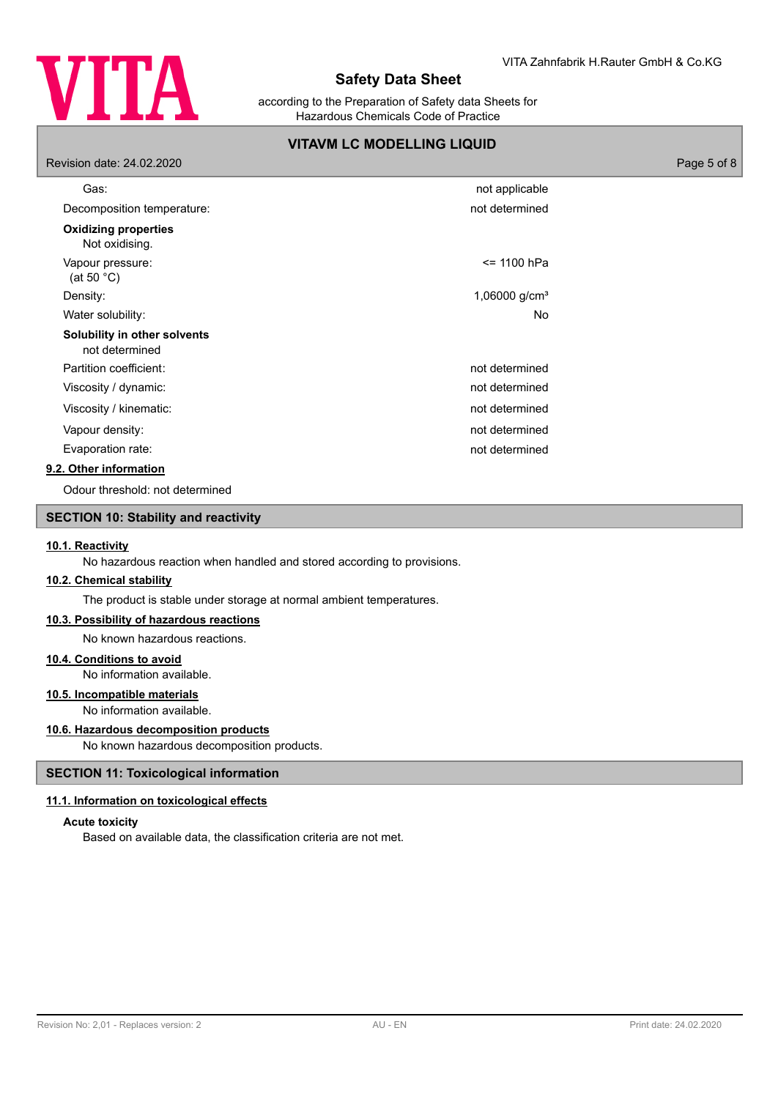

according to the Preparation of Safety data Sheets for Hazardous Chemicals Code of Practice

# **VITAVM LC MODELLING LIQUID**

| Revision date: 24.02.2020                      |                           | Page 5 of 8 |
|------------------------------------------------|---------------------------|-------------|
| Gas:                                           | not applicable            |             |
| Decomposition temperature:                     | not determined            |             |
| <b>Oxidizing properties</b><br>Not oxidising.  |                           |             |
| Vapour pressure:<br>(at 50 $^{\circ}$ C)       | <= 1100 hPa               |             |
| Density:                                       | 1,06000 g/cm <sup>3</sup> |             |
| Water solubility:                              | No                        |             |
| Solubility in other solvents<br>not determined |                           |             |
| Partition coefficient:                         | not determined            |             |
| Viscosity / dynamic:                           | not determined            |             |
| Viscosity / kinematic:                         | not determined            |             |
| Vapour density:                                | not determined            |             |
| Evaporation rate:                              | not determined            |             |
| 9.2. Other information                         |                           |             |
| Odour threshold: not determined                |                           |             |

# **SECTION 10: Stability and reactivity**

#### **10.1. Reactivity**

No hazardous reaction when handled and stored according to provisions.

# **10.2. Chemical stability**

The product is stable under storage at normal ambient temperatures.

#### **10.3. Possibility of hazardous reactions**

No known hazardous reactions.

# **10.4. Conditions to avoid**

No information available.

# **10.5. Incompatible materials**

No information available.

# **10.6. Hazardous decomposition products**

No known hazardous decomposition products.

# **SECTION 11: Toxicological information**

# **11.1. Information on toxicological effects**

# **Acute toxicity**

Based on available data, the classification criteria are not met.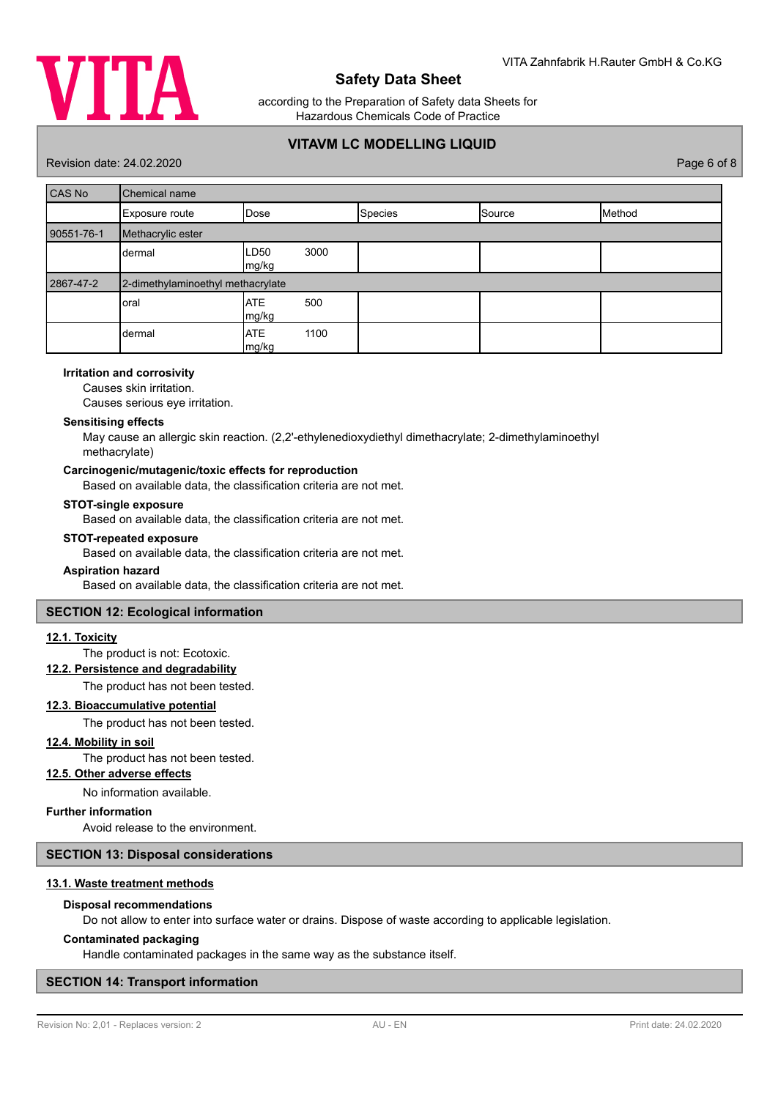

according to the Preparation of Safety data Sheets for Hazardous Chemicals Code of Practice

# **VITAVM LC MODELLING LIQUID**

Revision date: 24.02.2020 Page 6 of 8

| <b>CAS No</b> | Chemical name                     |                                   |         |        |        |
|---------------|-----------------------------------|-----------------------------------|---------|--------|--------|
|               | Exposure route                    | Dose                              | Species | Source | Method |
| 90551-76-1    | Methacrylic ester                 |                                   |         |        |        |
|               | dermal                            | 3000<br>LD <sub>50</sub><br>mg/kg |         |        |        |
| 2867-47-2     | 2-dimethylaminoethyl methacrylate |                                   |         |        |        |
|               | oral                              | <b>ATE</b><br>500<br>mg/kg        |         |        |        |
|               | dermal                            | <b>ATE</b><br>1100<br>mg/kg       |         |        |        |

# **Irritation and corrosivity**

Causes skin irritation.

Causes serious eye irritation.

#### **Sensitising effects**

May cause an allergic skin reaction. (2,2'-ethylenedioxydiethyl dimethacrylate; 2-dimethylaminoethyl methacrylate)

### **Carcinogenic/mutagenic/toxic effects for reproduction**

Based on available data, the classification criteria are not met.

#### **STOT-single exposure**

Based on available data, the classification criteria are not met.

#### **STOT-repeated exposure**

Based on available data, the classification criteria are not met.

#### **Aspiration hazard**

Based on available data, the classification criteria are not met.

# **SECTION 12: Ecological information**

#### **12.1. Toxicity**

The product is not: Ecotoxic.

# **12.2. Persistence and degradability**

The product has not been tested.

# **12.3. Bioaccumulative potential**

The product has not been tested.

# **12.4. Mobility in soil**

The product has not been tested.

# **12.5. Other adverse effects**

No information available.

# **Further information**

Avoid release to the environment.

# **SECTION 13: Disposal considerations**

#### **13.1. Waste treatment methods**

#### **Disposal recommendations**

Do not allow to enter into surface water or drains. Dispose of waste according to applicable legislation.

#### **Contaminated packaging**

Handle contaminated packages in the same way as the substance itself.

# **SECTION 14: Transport information**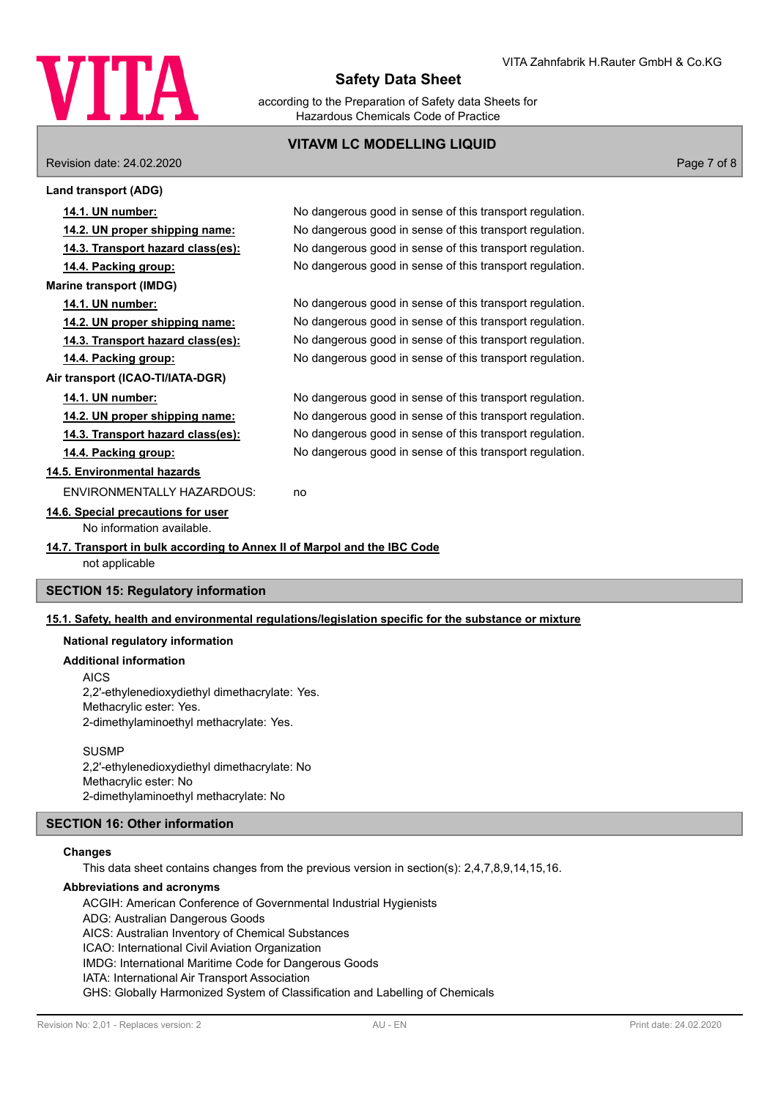

according to the Preparation of Safety data Sheets for Hazardous Chemicals Code of Practice

# **VITAVM LC MODELLING LIQUID**

Revision date: 24.02.2020 Page 7 of 8

| <b>Land transport (ADG)</b>                                                                |                                                          |
|--------------------------------------------------------------------------------------------|----------------------------------------------------------|
| 14.1. UN number:                                                                           | No dangerous good in sense of this transport regulation. |
| 14.2. UN proper shipping name:                                                             | No dangerous good in sense of this transport regulation. |
| 14.3. Transport hazard class(es):                                                          | No dangerous good in sense of this transport regulation. |
| 14.4. Packing group:                                                                       | No dangerous good in sense of this transport regulation. |
| <b>Marine transport (IMDG)</b>                                                             |                                                          |
| 14.1. UN number:                                                                           | No dangerous good in sense of this transport regulation. |
| 14.2. UN proper shipping name:                                                             | No dangerous good in sense of this transport regulation. |
| 14.3. Transport hazard class(es):                                                          | No dangerous good in sense of this transport regulation. |
| 14.4. Packing group:                                                                       | No dangerous good in sense of this transport regulation. |
| Air transport (ICAO-TI/IATA-DGR)                                                           |                                                          |
| 14.1. UN number:                                                                           | No dangerous good in sense of this transport regulation. |
| 14.2. UN proper shipping name:                                                             | No dangerous good in sense of this transport regulation. |
| 14.3. Transport hazard class(es):                                                          | No dangerous good in sense of this transport regulation. |
| 14.4. Packing group:                                                                       | No dangerous good in sense of this transport regulation. |
| 14.5. Environmental hazards                                                                |                                                          |
| ENVIRONMENTALLY HAZARDOUS:                                                                 | no                                                       |
| 14.6. Special precautions for user                                                         |                                                          |
| No information available.                                                                  |                                                          |
| 14.7. Transport in bulk according to Annex II of Marpol and the IBC Code<br>not applicable |                                                          |
| <b>CECTION 15: Poquiatory information</b>                                                  |                                                          |

# **SECTION 15: Regulatory information**

#### **15.1. Safety, health and environmental regulations/legislation specific for the substance or mixture**

# **National regulatory information**

**Additional information**

AICS

2,2'-ethylenedioxydiethyl dimethacrylate: Yes. Methacrylic ester: Yes. 2-dimethylaminoethyl methacrylate: Yes.

#### **SUSMP**

2,2'-ethylenedioxydiethyl dimethacrylate: No Methacrylic ester: No 2-dimethylaminoethyl methacrylate: No

# **SECTION 16: Other information**

# **Changes**

This data sheet contains changes from the previous version in section(s): 2,4,7,8,9,14,15,16.

#### **Abbreviations and acronyms**

ACGIH: American Conference of Governmental Industrial Hygienists ADG: Australian Dangerous Goods AICS: Australian Inventory of Chemical Substances ICAO: International Civil Aviation Organization IMDG: International Maritime Code for Dangerous Goods IATA: International Air Transport Association GHS: Globally Harmonized System of Classification and Labelling of Chemicals